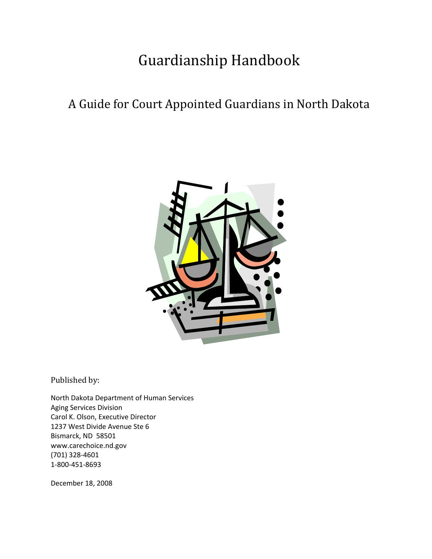# Guardianship Handbook

## A Guide for Court Appointed Guardians in North Dakota



Published by:

North Dakota Department of Human Services Aging Services Division Carol K. Olson, Executive Director 1237 West Divide Avenue Ste 6 Bismarck, ND 58501 www.carechoice.nd.gov (701) 328‐4601 1‐800‐451‐8693

December 18, 2008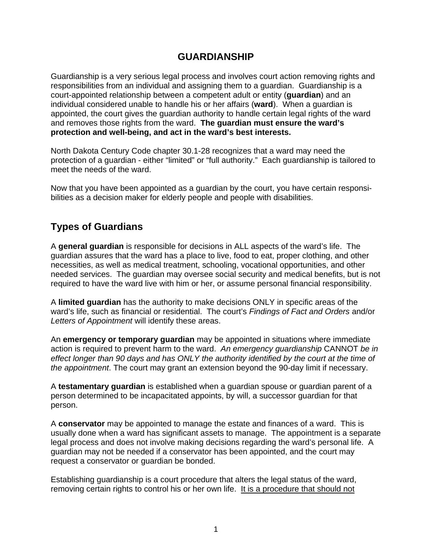### **GUARDIANSHIP**

Guardianship is a very serious legal process and involves court action removing rights and responsibilities from an individual and assigning them to a guardian. Guardianship is a court-appointed relationship between a competent adult or entity (**guardian**) and an individual considered unable to handle his or her affairs (**ward**). When a guardian is appointed, the court gives the guardian authority to handle certain legal rights of the ward and removes those rights from the ward. **The guardian must ensure the ward's protection and well-being, and act in the ward's best interests.** 

North Dakota Century Code chapter 30.1-28 recognizes that a ward may need the protection of a guardian - either "limited" or "full authority." Each guardianship is tailored to meet the needs of the ward.

Now that you have been appointed as a guardian by the court, you have certain responsibilities as a decision maker for elderly people and people with disabilities.

## **Types of Guardians**

A **general guardian** is responsible for decisions in ALL aspects of the ward's life. The guardian assures that the ward has a place to live, food to eat, proper clothing, and other necessities, as well as medical treatment, schooling, vocational opportunities, and other needed services. The guardian may oversee social security and medical benefits, but is not required to have the ward live with him or her, or assume personal financial responsibility.

A **limited guardian** has the authority to make decisions ONLY in specific areas of the ward's life, such as financial or residential. The court's *Findings of Fact and Orders* and/or *Letters of Appointment* will identify these areas.

An **emergency or temporary guardian** may be appointed in situations where immediate action is required to prevent harm to the ward. *An emergency guardianship* CANNOT *be in effect longer than 90 days and has ONLY the authority identified by the court at the time of the appointment*. The court may grant an extension beyond the 90-day limit if necessary.

A **testamentary guardian** is established when a guardian spouse or guardian parent of a person determined to be incapacitated appoints, by will, a successor guardian for that person.

A **conservator** may be appointed to manage the estate and finances of a ward. This is usually done when a ward has significant assets to manage. The appointment is a separate legal process and does not involve making decisions regarding the ward's personal life. A guardian may not be needed if a conservator has been appointed, and the court may request a conservator or guardian be bonded.

Establishing guardianship is a court procedure that alters the legal status of the ward, removing certain rights to control his or her own life. It is a procedure that should not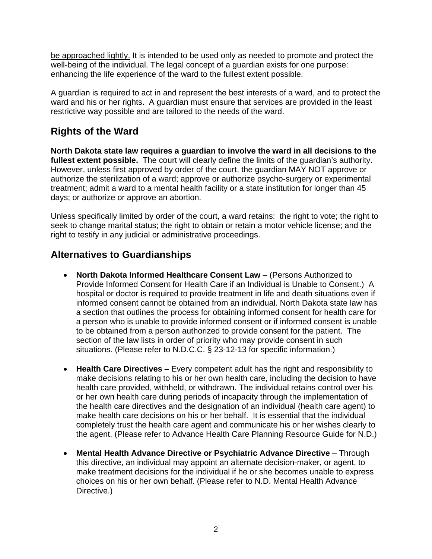be approached lightly. It is intended to be used only as needed to promote and protect the well-being of the individual. The legal concept of a guardian exists for one purpose: enhancing the life experience of the ward to the fullest extent possible.

A guardian is required to act in and represent the best interests of a ward, and to protect the ward and his or her rights. A guardian must ensure that services are provided in the least restrictive way possible and are tailored to the needs of the ward.

## **Rights of the Ward**

**North Dakota state law requires a guardian to involve the ward in all decisions to the**  fullest extent possible. The court will clearly define the limits of the quardian's authority. However, unless first approved by order of the court, the guardian MAY NOT approve or authorize the sterilization of a ward; approve or authorize psycho-surgery or experimental treatment; admit a ward to a mental health facility or a state institution for longer than 45 days; or authorize or approve an abortion.

Unless specifically limited by order of the court, a ward retains: the right to vote; the right to seek to change marital status; the right to obtain or retain a motor vehicle license; and the right to testify in any judicial or administrative proceedings.

## **Alternatives to Guardianships**

- **North Dakota Informed Healthcare Consent Law**  (Persons Authorized to Provide Informed Consent for Health Care if an Individual is Unable to Consent.) A hospital or doctor is required to provide treatment in life and death situations even if informed consent cannot be obtained from an individual. North Dakota state law has a section that outlines the process for obtaining informed consent for health care for a person who is unable to provide informed consent or if informed consent is unable to be obtained from a person authorized to provide consent for the patient. The section of the law lists in order of priority who may provide consent in such situations. (Please refer to N.D.C.C. § 23-12-13 for specific information.)
- **Health Care Directives** Every competent adult has the right and responsibility to make decisions relating to his or her own health care, including the decision to have health care provided, withheld, or withdrawn. The individual retains control over his or her own health care during periods of incapacity through the implementation of the health care directives and the designation of an individual (health care agent) to make health care decisions on his or her behalf. It is essential that the individual completely trust the health care agent and communicate his or her wishes clearly to the agent. (Please refer to Advance Health Care Planning Resource Guide for N.D.)
- **Mental Health Advance Directive or Psychiatric Advance Directive**  Through this directive, an individual may appoint an alternate decision-maker, or agent, to make treatment decisions for the individual if he or she becomes unable to express choices on his or her own behalf. (Please refer to N.D. Mental Health Advance Directive.)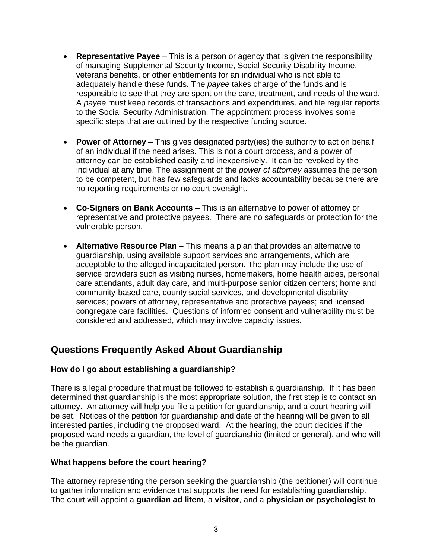- **Representative Payee**  This is a person or agency that is given the responsibility of managing Supplemental Security Income, Social Security Disability Income, veterans benefits, or other entitlements for an individual who is not able to adequately handle these funds. The *payee* takes charge of the funds and is responsible to see that they are spent on the care, treatment, and needs of the ward. A *payee* must keep records of transactions and expenditures. and file regular reports to the Social Security Administration. The appointment process involves some specific steps that are outlined by the respective funding source.
- **Power of Attorney**  This gives designated party(ies) the authority to act on behalf of an individual if the need arises. This is not a court process, and a power of attorney can be established easily and inexpensively. It can be revoked by the individual at any time. The assignment of the *power of attorney* assumes the person to be competent, but has few safeguards and lacks accountability because there are no reporting requirements or no court oversight.
- **Co-Signers on Bank Accounts**  This is an alternative to power of attorney or representative and protective payees. There are no safeguards or protection for the vulnerable person.
- **Alternative Resource Plan**  This means a plan that provides an alternative to guardianship, using available support services and arrangements, which are acceptable to the alleged incapacitated person. The plan may include the use of service providers such as visiting nurses, homemakers, home health aides, personal care attendants, adult day care, and multi-purpose senior citizen centers; home and community-based care, county social services, and developmental disability services; powers of attorney, representative and protective payees; and licensed congregate care facilities. Questions of informed consent and vulnerability must be considered and addressed, which may involve capacity issues.

## **Questions Frequently Asked About Guardianship**

#### **How do I go about establishing a guardianship?**

There is a legal procedure that must be followed to establish a guardianship. If it has been determined that guardianship is the most appropriate solution, the first step is to contact an attorney. An attorney will help you file a petition for guardianship, and a court hearing will be set. Notices of the petition for guardianship and date of the hearing will be given to all interested parties, including the proposed ward. At the hearing, the court decides if the proposed ward needs a guardian, the level of guardianship (limited or general), and who will be the guardian.

#### **What happens before the court hearing?**

The attorney representing the person seeking the guardianship (the petitioner) will continue to gather information and evidence that supports the need for establishing guardianship. The court will appoint a **guardian ad litem**, a **visitor**, and a **physician or psychologist** to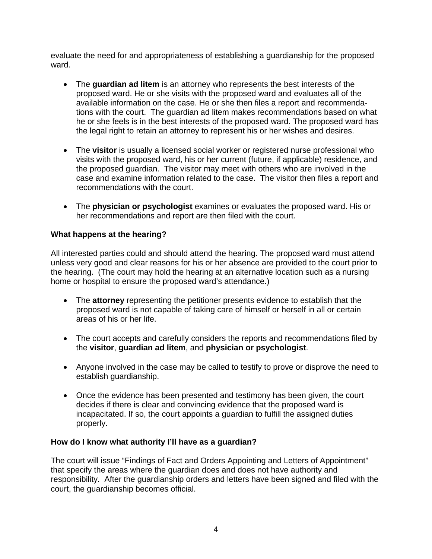evaluate the need for and appropriateness of establishing a guardianship for the proposed ward.

- The **guardian ad litem** is an attorney who represents the best interests of the proposed ward. He or she visits with the proposed ward and evaluates all of the available information on the case. He or she then files a report and recommendations with the court. The guardian ad litem makes recommendations based on what he or she feels is in the best interests of the proposed ward. The proposed ward has the legal right to retain an attorney to represent his or her wishes and desires.
- The **visitor** is usually a licensed social worker or registered nurse professional who visits with the proposed ward, his or her current (future, if applicable) residence, and the proposed guardian. The visitor may meet with others who are involved in the case and examine information related to the case. The visitor then files a report and recommendations with the court.
- The **physician or psychologist** examines or evaluates the proposed ward. His or her recommendations and report are then filed with the court.

#### **What happens at the hearing?**

All interested parties could and should attend the hearing. The proposed ward must attend unless very good and clear reasons for his or her absence are provided to the court prior to the hearing. (The court may hold the hearing at an alternative location such as a nursing home or hospital to ensure the proposed ward's attendance.)

- The **attorney** representing the petitioner presents evidence to establish that the proposed ward is not capable of taking care of himself or herself in all or certain areas of his or her life.
- The court accepts and carefully considers the reports and recommendations filed by the **visitor**, **guardian ad litem**, and **physician or psychologist**.
- Anyone involved in the case may be called to testify to prove or disprove the need to establish guardianship.
- Once the evidence has been presented and testimony has been given, the court decides if there is clear and convincing evidence that the proposed ward is incapacitated. If so, the court appoints a guardian to fulfill the assigned duties properly.

#### **How do I know what authority I'll have as a guardian?**

The court will issue "Findings of Fact and Orders Appointing and Letters of Appointment" that specify the areas where the guardian does and does not have authority and responsibility. After the guardianship orders and letters have been signed and filed with the court, the guardianship becomes official.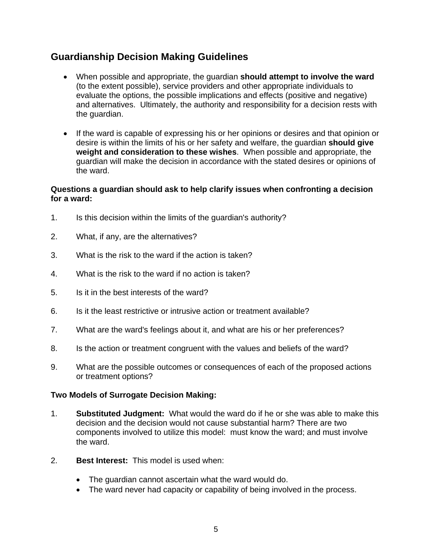## **Guardianship Decision Making Guidelines**

- When possible and appropriate, the guardian **should attempt to involve the ward** (to the extent possible), service providers and other appropriate individuals to evaluate the options, the possible implications and effects (positive and negative) and alternatives. Ultimately, the authority and responsibility for a decision rests with the guardian.
- If the ward is capable of expressing his or her opinions or desires and that opinion or desire is within the limits of his or her safety and welfare, the guardian **should give weight and consideration to these wishes**. When possible and appropriate, the guardian will make the decision in accordance with the stated desires or opinions of the ward.

#### **Questions a guardian should ask to help clarify issues when confronting a decision for a ward:**

- 1. Is this decision within the limits of the guardian's authority?
- 2. What, if any, are the alternatives?
- 3. What is the risk to the ward if the action is taken?
- 4. What is the risk to the ward if no action is taken?
- 5. Is it in the best interests of the ward?
- 6. Is it the least restrictive or intrusive action or treatment available?
- 7. What are the ward's feelings about it, and what are his or her preferences?
- 8. Is the action or treatment congruent with the values and beliefs of the ward?
- 9. What are the possible outcomes or consequences of each of the proposed actions or treatment options?

#### **Two Models of Surrogate Decision Making:**

- 1. **Substituted Judgment:** What would the ward do if he or she was able to make this decision and the decision would not cause substantial harm? There are two components involved to utilize this model: must know the ward; and must involve the ward.
- 2. **Best Interest:** This model is used when:
	- The guardian cannot ascertain what the ward would do.
	- The ward never had capacity or capability of being involved in the process.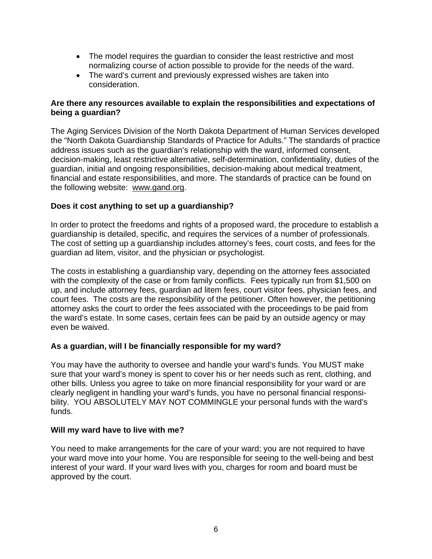- The model requires the guardian to consider the least restrictive and most normalizing course of action possible to provide for the needs of the ward.
- The ward's current and previously expressed wishes are taken into consideration.

#### **Are there any resources available to explain the responsibilities and expectations of being a guardian?**

The Aging Services Division of the North Dakota Department of Human Services developed the "North Dakota Guardianship Standards of Practice for Adults." The standards of practice address issues such as the guardian's relationship with the ward, informed consent, decision-making, least restrictive alternative, self-determination, confidentiality, duties of the guardian, initial and ongoing responsibilities, decision-making about medical treatment, financial and estate responsibilities, and more. The standards of practice can be found on the following website: www.gand.org.

#### **Does it cost anything to set up a guardianship?**

In order to protect the freedoms and rights of a proposed ward, the procedure to establish a guardianship is detailed, specific, and requires the services of a number of professionals. The cost of setting up a guardianship includes attorney's fees, court costs, and fees for the guardian ad litem, visitor, and the physician or psychologist.

The costs in establishing a guardianship vary, depending on the attorney fees associated with the complexity of the case or from family conflicts. Fees typically run from \$1,500 on up, and include attorney fees, guardian ad litem fees, court visitor fees, physician fees, and court fees. The costs are the responsibility of the petitioner. Often however, the petitioning attorney asks the court to order the fees associated with the proceedings to be paid from the ward's estate. In some cases, certain fees can be paid by an outside agency or may even be waived.

#### **As a guardian, will I be financially responsible for my ward?**

You may have the authority to oversee and handle your ward's funds. You MUST make sure that your ward's money is spent to cover his or her needs such as rent, clothing, and other bills. Unless you agree to take on more financial responsibility for your ward or are clearly negligent in handling your ward's funds, you have no personal financial responsibility. YOU ABSOLUTELY MAY NOT COMMINGLE your personal funds with the ward's funds.

#### **Will my ward have to live with me?**

You need to make arrangements for the care of your ward; you are not required to have your ward move into your home. You are responsible for seeing to the well-being and best interest of your ward. If your ward lives with you, charges for room and board must be approved by the court.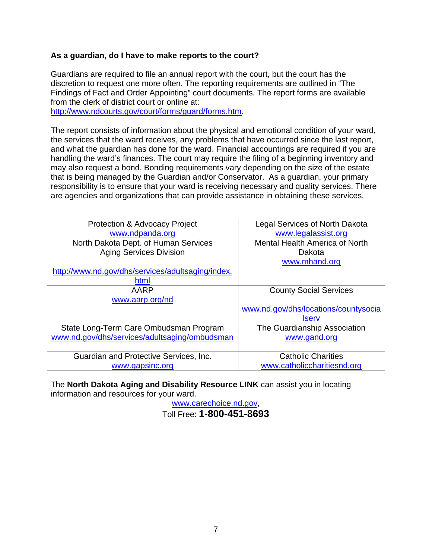#### **As a guardian, do I have to make reports to the court?**

Guardians are required to file an annual report with the court, but the court has the discretion to request one more often. The reporting requirements are outlined in "The Findings of Fact and Order Appointing" court documents. The report forms are available from the clerk of district court or online at:

http://www.ndcourts.gov/court/forms/guard/forms.htm.

The report consists of information about the physical and emotional condition of your ward, the services that the ward receives, any problems that have occurred since the last report, and what the guardian has done for the ward. Financial accountings are required if you are handling the ward's finances. The court may require the filing of a beginning inventory and may also request a bond. Bonding requirements vary depending on the size of the estate that is being managed by the Guardian and/or Conservator. As a guardian, your primary responsibility is to ensure that your ward is receiving necessary and quality services. There are agencies and organizations that can provide assistance in obtaining these services.

| Protection & Advocacy Project                     | <b>Legal Services of North Dakota</b> |
|---------------------------------------------------|---------------------------------------|
| www.ndpanda.org                                   | www.legalassist.org                   |
| North Dakota Dept. of Human Services              | Mental Health America of North        |
| <b>Aging Services Division</b>                    | Dakota                                |
|                                                   | www.mhand.org                         |
| http://www.nd.gov/dhs/services/adultsaging/index. |                                       |
| html                                              |                                       |
| AARP                                              | <b>County Social Services</b>         |
| www.aarp.org/nd                                   |                                       |
|                                                   | www.nd.gov/dhs/locations/countysocia  |
|                                                   | <b>Iserv</b>                          |
| State Long-Term Care Ombudsman Program            | The Guardianship Association          |
| www.nd.gov/dhs/services/adultsaging/ombudsman     | www.gand.org                          |
|                                                   |                                       |
| Guardian and Protective Services, Inc.            | <b>Catholic Charities</b>             |
| www.gapsinc.org                                   | www.catholiccharitiesnd.org           |

The **North Dakota Aging and Disability Resource LINK** can assist you in locating information and resources for your ward.

www.carechoice.nd.gov,

Toll Free: **1-800-451-8693**